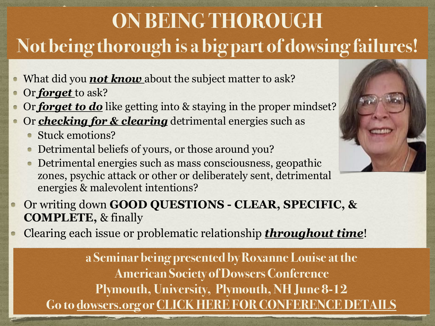## **ON BEING THOROUGH Not being thorough is a big part of dowsing failures!**

- What did you **not know** about the subject matter to ask?
- Or *forget* to ask?  $\bullet$
- Or *forget to do* like getting into & staying in the proper mindset?  $\bullet$
- Or *checking for & clearing* detrimental energies such as
	- Stuck emotions?
	- Detrimental beliefs of yours, or those around you?
	- Detrimental energies such as mass consciousness, geopathic zones, psychic attack or other or deliberately sent, detrimental energies & malevolent intentions?
- Or writing down **GOOD QUESTIONS CLEAR, SPECIFIC, &**   $\bullet$ **COMPLETE,** & finally
- Clearing each issue or problematic relationship *throughout time*!

**a Seminar being presented by Roxanne Louise at the American Society of Dowsers Conference Plymouth, University, Plymouth, NH June 8-12 Go to [dowsers.org](http://dowsers.org) or [CLICK HERE FOR CONFERENCE DETAILS](https://dowsers.org/convention-and-conferences/)**